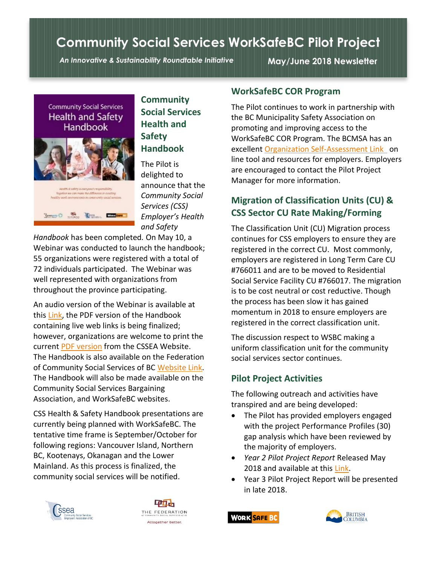# **Community Social Services WorkSafeBC Pilot Project**

*An Innovative & Sustainability Roundtable Initiative* **May/June 2018 Newsletter**





## **Community Social Services Health and Safety Handbook**

The Pilot is delighted to announce that the *Community Social Services (CSS) Employer's Health and Safety* 

*Handbook* has been completed*.* On May 10, a Webinar was conducted to launch the handbook; 55 organizations were registered with a total of 72 individuals participated. The Webinar was well represented with organizations from throughout the province participating.

An audio version of the Webinar is available at this [Link,](https://www.cssea.bc.ca/index.php?option=com_content&view=article&layout=edit&id=1247) the PDF version of the Handbook containing live web links is being finalized; however, organizations are welcome to print the current [PDF version](https://www.cssea.bc.ca/PDFs/WSBC/CSS_HS_Handbook2018.pdf) from the CSSEA Website. The Handbook is also available on the Federation of Community Social Services of BC [Website Link.](https://fcssbc.ca/the-css-health-safety-handbook/) The Handbook will also be made available on the Community Social Services Bargaining Association, and WorkSafeBC websites.

CSS Health & Safety Handbook presentations are currently being planned with WorkSafeBC. The tentative time frame is September/October for following regions: Vancouver Island, Northern BC, Kootenays, Okanagan and the Lower Mainland. As this process is finalized, the community social services will be notified.





#### **WorkSafeBC COR Program**

The Pilot continues to work in partnership with the BC Municipality Safety Association on promoting and improving access to the WorkSafeBC COR Program. The BCMSA has an excellent [Organization Self-Assessment Link](http://smsreview.bcmsa.ca/) on line tool and resources for employers. Employers are encouraged to contact the Pilot Project Manager for more information.

## **Migration of Classification Units (CU) & CSS Sector CU Rate Making/Forming**

The Classification Unit (CU) Migration process continues for CSS employers to ensure they are registered in the correct CU. Most commonly, employers are registered in Long Term Care CU #766011 and are to be moved to Residential Social Service Facility CU #766017. The migration is to be cost neutral or cost reductive. Though the process has been slow it has gained momentum in 2018 to ensure employers are registered in the correct classification unit.

The discussion respect to WSBC making a uniform classification unit for the community social services sector continues.

## **Pilot Project Activities**

The following outreach and activities have transpired and are being developed:

- The Pilot has provided employers engaged with the project Performance Profiles (30) gap analysis which have been reviewed by the majority of employers.
- *Year 2 Pilot Project Report* Released May 2018 and available at this [Link.](https://www.cssea.bc.ca/PDFs/WSBC/CSS_Year2Report.pdf)
- Year 3 Pilot Project Report will be presented in late 2018.